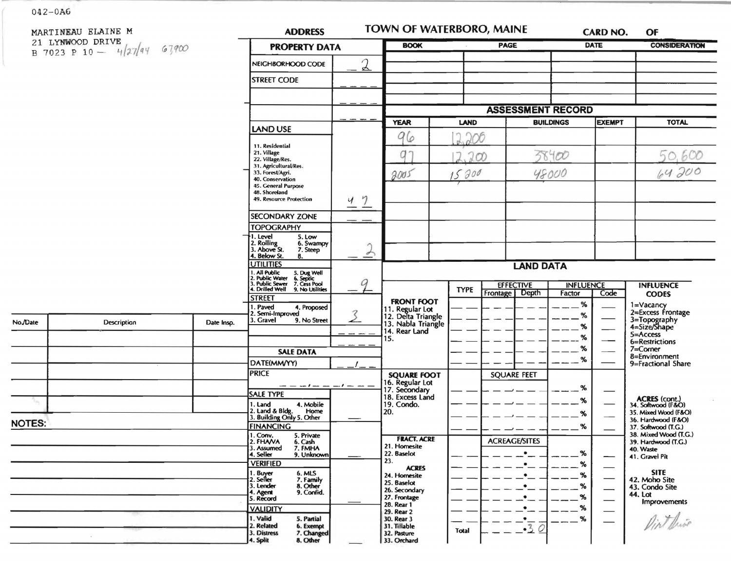|               | MARTINEAU ELAINE M                                |                                                                                   | <b>ADDRESS</b>                                                                         |                                                             | <b>TOWN OF WATERBORO, MAINE</b>                   | CARD NO.                           | OF                                                |
|---------------|---------------------------------------------------|-----------------------------------------------------------------------------------|----------------------------------------------------------------------------------------|-------------------------------------------------------------|---------------------------------------------------|------------------------------------|---------------------------------------------------|
|               | 21 LYNWOOD DRIVE<br>B 7023 P 10 - $4/27/44$ 67900 |                                                                                   | <b>PROPERTY DATA</b>                                                                   | <b>BOOK</b>                                                 | PAGE                                              | <b>DATE</b>                        | <b>CONSIDERATION</b>                              |
|               |                                                   |                                                                                   | $\mathfrak{D}$<br>NEIGHBORHOOD CODE                                                    |                                                             |                                                   |                                    |                                                   |
|               |                                                   |                                                                                   | <b>STREET CODE</b>                                                                     |                                                             |                                                   |                                    |                                                   |
|               |                                                   |                                                                                   |                                                                                        |                                                             |                                                   |                                    |                                                   |
|               |                                                   |                                                                                   |                                                                                        |                                                             | <b>ASSESSMENT RECORD</b>                          |                                    |                                                   |
|               |                                                   |                                                                                   |                                                                                        | <b>YEAR</b>                                                 | LAND                                              | <b>EXEMPT</b><br><b>BUILDINGS</b>  | <b>TOTAL</b>                                      |
|               |                                                   |                                                                                   | <b>LAND USE</b>                                                                        | 96                                                          | 206                                               |                                    |                                                   |
|               |                                                   |                                                                                   | 11. Residential<br>21. Village                                                         | q                                                           |                                                   | 38.400                             | 50.600                                            |
|               |                                                   | 22. Village/Res.<br>31. Agricultural/Res.<br>33. Forest/Agri.<br>40. Conservation |                                                                                        | 200                                                         |                                                   |                                    |                                                   |
|               |                                                   |                                                                                   | 2005                                                                                   | 15 200                                                      | 48000                                             | 64200                              |                                                   |
|               |                                                   |                                                                                   | 45. General Purpose<br>48. Shoreland                                                   |                                                             |                                                   |                                    |                                                   |
|               |                                                   |                                                                                   | 49. Resource Protection<br>47                                                          |                                                             |                                                   |                                    |                                                   |
|               |                                                   |                                                                                   | <b>SECONDARY ZONE</b>                                                                  |                                                             |                                                   |                                    |                                                   |
|               |                                                   |                                                                                   | <b>TOPOGRAPHY</b><br>1. Level<br>5. Low                                                |                                                             |                                                   |                                    |                                                   |
|               |                                                   |                                                                                   | 2. Rolling<br>3. Above St.<br>6. Swampy<br>7. Steep<br>$\rightarrow$                   |                                                             |                                                   |                                    |                                                   |
|               |                                                   | 4. Below St.<br>8.<br><b>UTILITIES</b>                                            |                                                                                        | <b>LAND DATA</b>                                            |                                                   |                                    |                                                   |
|               |                                                   |                                                                                   | 1. All Public 5. Dug Well<br>2. Public Water 6. Septic<br>3. Public Sewer 7. Cess Pool |                                                             |                                                   |                                    |                                                   |
|               |                                                   |                                                                                   | G<br>4. Drilled Well 9. No Utilities                                                   |                                                             | <b>EFFECTIVE</b><br><b>TYPE</b><br>Frontage Depth | <b>INFLUENCE</b><br>Factor<br>Code | <b>INFLUENCE</b><br><b>CODES</b>                  |
|               |                                                   |                                                                                   | <b>STREET</b><br>. Paved<br>4. Proposed                                                | <b>FRONT FOOT</b>                                           |                                                   | %                                  | 1=Vacancy                                         |
| No./Date      | Description                                       | Date Insp.                                                                        | 3<br>2. Semi-Improved<br>3. Gravel<br>9. No Street                                     | 11. Regular Lot<br>12. Delta Triangle<br>13. Nabla Triangle |                                                   | %                                  | 2=Excess Frontage<br>3=Topography<br>4=Size/Shape |
|               |                                                   |                                                                                   |                                                                                        | 14. Rear Land                                               |                                                   | %<br>%                             | 5=Access                                          |
|               |                                                   |                                                                                   | <b>SALE DATA</b>                                                                       | 15.                                                         |                                                   | %                                  | 6=Restrictions<br>$7 =$ Corner                    |
|               |                                                   |                                                                                   | DATE(MM/YY)                                                                            |                                                             |                                                   | %                                  | 8=Environment<br>9=Fractional Share               |
|               |                                                   |                                                                                   | <b>PRICE</b>                                                                           | <b>SQUARE FOOT</b>                                          | <b>SQUARE FEET</b>                                |                                    |                                                   |
|               |                                                   |                                                                                   | $- - - - - - - -$                                                                      | 16. Regular Lot<br>17. Secondary<br>18. Excess Land         |                                                   | %                                  |                                                   |
|               |                                                   |                                                                                   | <b>SALE TYPE</b><br>1. Land<br>4. Mobile                                               | 19. Condo.                                                  |                                                   | %                                  | ACRES (cont.)<br>34. Softwood (F&O)               |
|               |                                                   |                                                                                   | 2. Land & Bldg. Home<br>3. Building Only 5. Other<br>Home                              | 20.                                                         |                                                   | %                                  | 35. Mixed Wood (F&O)<br>36. Hardwood (F&O)        |
| <b>NOTES:</b> |                                                   |                                                                                   | <b>FINANCING</b>                                                                       |                                                             |                                                   | %                                  | 37. Softwood (T.G.)<br>38. Mixed Wood (T.G.)      |
|               |                                                   |                                                                                   | 1. Conv.<br>2. FHAVA<br>5. Private<br>6. Cash<br>3. Assumed<br>7. FMHA                 | <b>FRACT. ACRE</b><br>21. Homesite                          | <b>ACREAGE/SITES</b>                              |                                    | 39. Hardwood (T.G.)                               |
|               |                                                   |                                                                                   | 4. Seller<br>9. Unknown                                                                | 22. Baselot<br>23.                                          |                                                   | %                                  | 40. Waste<br>41. Gravel Pit                       |
|               |                                                   |                                                                                   | <b>VERIFIED</b><br>1. Buyer<br>2. Seller<br>6. MLS                                     | <b>ACRES</b><br>24. Homesite                                | $\bullet$<br>$\bullet$                            | %<br>%                             | <b>SITE</b>                                       |
|               |                                                   |                                                                                   | 7. Family<br>8. Other<br>3. Lender                                                     | 25. Baselot                                                 | $\bullet$                                         | $- -$ %                            | 42. Moho Site<br>43. Condo Site                   |
|               |                                                   |                                                                                   | 9. Confid.<br>4. Agent<br>5. Record                                                    | 26. Secondary<br>27. Frontage                               | $\bullet$                                         | %                                  | 44. Lot<br><b>Improvements</b>                    |
|               |                                                   |                                                                                   | <b>VALIDITY</b>                                                                        | 28. Rear 1<br>29. Rear 2                                    | $\bullet$                                         | %                                  |                                                   |
|               |                                                   |                                                                                   | 1. Valid<br>5. Partial<br>2. Related<br>6. Exempt                                      | 30. Rear 3<br>31. Tillable                                  | $-\frac{1}{3}$<br>Total                           | %                                  | Dirthis                                           |
|               |                                                   |                                                                                   | 3. Distress<br>7. Changed<br>8. Other<br>4. Split                                      | 32. Pasture<br>33. Orchard                                  |                                                   |                                    |                                                   |

 $\sim$ 

 $042 - 0A6$